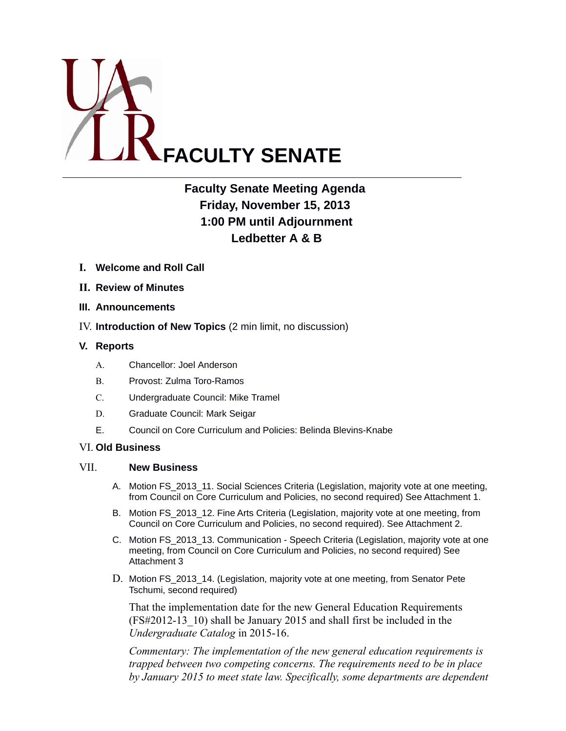

# **Faculty Senate Meeting Agenda Friday, November 15, 2013 1:00 PM until Adjournment Ledbetter A & B**

- **I. Welcome and Roll Call**
- **II. Review of Minutes**
- **III. Announcements**
- IV. **Introduction of New Topics** (2 min limit, no discussion)

#### **V. Reports**

- A. Chancellor: Joel Anderson
- B. Provost: Zulma Toro-Ramos
- C. Undergraduate Council: Mike Tramel
- D. Graduate Council: Mark Seigar
- E. Council on Core Curriculum and Policies: Belinda Blevins-Knabe

#### VI. **Old Business**

#### VII. **New Business**

- A. Motion FS 2013 11. Social Sciences Criteria (Legislation, majority vote at one meeting, from Council on Core Curriculum and Policies, no second required) See Attachment 1.
- B. Motion FS\_2013\_12. Fine Arts Criteria (Legislation, majority vote at one meeting, from Council on Core Curriculum and Policies, no second required). See Attachment 2.
- C. Motion FS\_2013\_13. Communication Speech Criteria (Legislation, majority vote at one meeting, from Council on Core Curriculum and Policies, no second required) See Attachment 3
- D. Motion FS\_2013\_14. (Legislation, majority vote at one meeting, from Senator Pete Tschumi, second required)

That the implementation date for the new General Education Requirements (FS#2012-13\_10) shall be January 2015 and shall first be included in the *Undergraduate Catalog* in 2015-16.

*Commentary: The implementation of the new general education requirements is trapped between two competing concerns. The requirements need to be in place by January 2015 to meet state law. Specifically, some departments are dependent*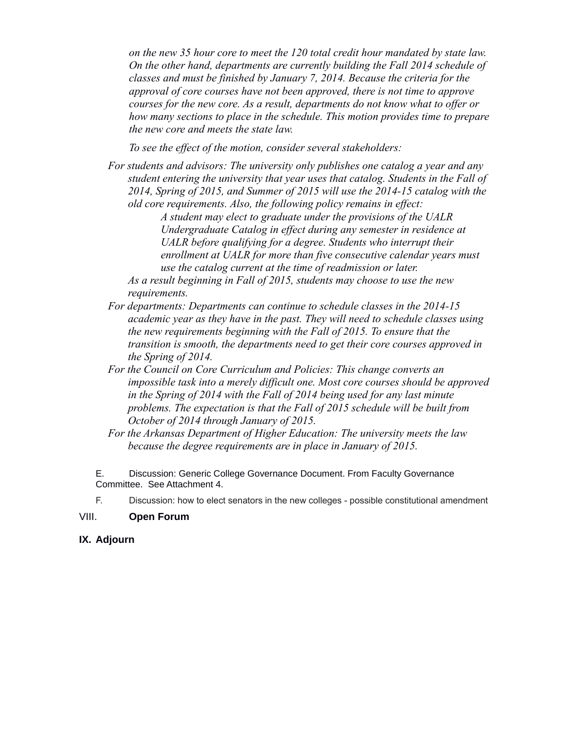*on the new 35 hour core to meet the 120 total credit hour mandated by state law. On the other hand, departments are currently building the Fall 2014 schedule of classes and must be finished by January 7, 2014. Because the criteria for the approval of core courses have not been approved, there is not time to approve courses for the new core. As a result, departments do not know what to offer or how many sections to place in the schedule. This motion provides time to prepare the new core and meets the state law.*

*To see the effect of the motion, consider several stakeholders:*

*For students and advisors: The university only publishes one catalog a year and any student entering the university that year uses that catalog. Students in the Fall of 2014, Spring of 2015, and Summer of 2015 will use the 2014-15 catalog with the old core requirements. Also, the following policy remains in effect:*

*A student may elect to graduate under the provisions of the UALR Undergraduate Catalog in effect during any semester in residence at UALR before qualifying for a degree. Students who interrupt their enrollment at UALR for more than five consecutive calendar years must use the catalog current at the time of readmission or later.* 

*As a result beginning in Fall of 2015, students may choose to use the new requirements.*

- *For departments: Departments can continue to schedule classes in the 2014-15 academic year as they have in the past. They will need to schedule classes using the new requirements beginning with the Fall of 2015. To ensure that the transition is smooth, the departments need to get their core courses approved in the Spring of 2014.*
- *For the Council on Core Curriculum and Policies: This change converts an impossible task into a merely difficult one. Most core courses should be approved in the Spring of 2014 with the Fall of 2014 being used for any last minute problems. The expectation is that the Fall of 2015 schedule will be built from October of 2014 through January of 2015.*
- *For the Arkansas Department of Higher Education: The university meets the law because the degree requirements are in place in January of 2015.*

E. Discussion: Generic College Governance Document. From Faculty Governance Committee. See Attachment 4.

F. Discussion: how to elect senators in the new colleges - possible constitutional amendment

#### VIII. **Open Forum**

#### **IX. Adjourn**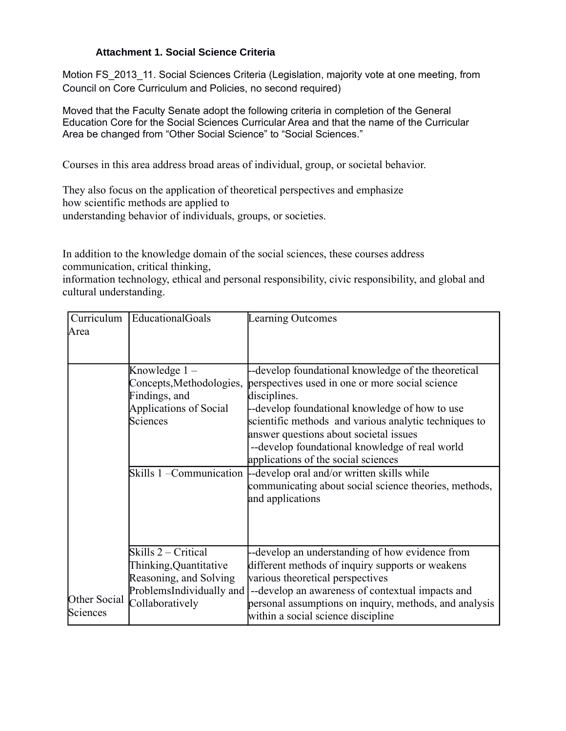## **Attachment 1. Social Science Criteria**

Motion FS\_2013\_11. Social Sciences Criteria (Legislation, majority vote at one meeting, from Council on Core Curriculum and Policies, no second required)

Moved that the Faculty Senate adopt the following criteria in completion of the General Education Core for the Social Sciences Curricular Area and that the name of the Curricular Area be changed from "Other Social Science" to "Social Sciences."

Courses in this area address broad areas of individual, group, or societal behavior.

They also focus on the application of theoretical perspectives and emphasize how scientific methods are applied to understanding behavior of individuals, groups, or societies.

In addition to the knowledge domain of the social sciences, these courses address communication, critical thinking,

information technology, ethical and personal responsibility, civic responsibility, and global and cultural understanding.

| Curriculum<br>Area       | EducationalGoals                                                                                                       | Learning Outcomes                                                                                                                                                                                                                                                                                                                                                                                                                                                                                                         |
|--------------------------|------------------------------------------------------------------------------------------------------------------------|---------------------------------------------------------------------------------------------------------------------------------------------------------------------------------------------------------------------------------------------------------------------------------------------------------------------------------------------------------------------------------------------------------------------------------------------------------------------------------------------------------------------------|
| Other Social<br>Sciences | Knowledge 1 –<br>Concepts, Methodologies,<br>Findings, and<br><b>Applications of Social</b><br>Sciences                | --develop foundational knowledge of the theoretical<br>perspectives used in one or more social science<br>disciplines.<br>-develop foundational knowledge of how to use<br>scientific methods and various analytic techniques to<br>answer questions about societal issues<br>--develop foundational knowledge of real world<br>applications of the social sciences<br>Skills 1 – Communication   - develop oral and/or written skills while<br>communicating about social science theories, methods,<br>and applications |
|                          | Skills 2 – Critical<br>Thinking, Quantitative<br>Reasoning, and Solving<br>ProblemsIndividually and<br>Collaboratively | --develop an understanding of how evidence from<br>different methods of inquiry supports or weakens<br>various theoretical perspectives<br>--develop an awareness of contextual impacts and<br>personal assumptions on inquiry, methods, and analysis<br>within a social science discipline                                                                                                                                                                                                                               |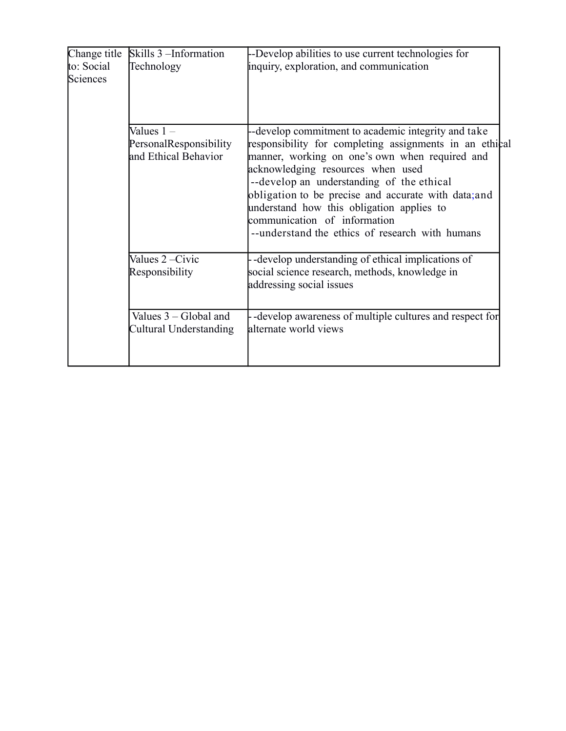| Change title           | Skills 3 – Information                                         | -Develop abilities to use current technologies for                                                                                                                                                                                                                                                                                                                                                                                         |  |  |  |
|------------------------|----------------------------------------------------------------|--------------------------------------------------------------------------------------------------------------------------------------------------------------------------------------------------------------------------------------------------------------------------------------------------------------------------------------------------------------------------------------------------------------------------------------------|--|--|--|
| to: Social<br>Sciences | Technology                                                     | inquiry, exploration, and communication                                                                                                                                                                                                                                                                                                                                                                                                    |  |  |  |
|                        | Values $1 -$<br>PersonalResponsibility<br>and Ethical Behavior | --develop commitment to academic integrity and take<br>responsibility for completing assignments in an ethical<br>manner, working on one's own when required and<br>acknowledging resources when used<br>--develop an understanding of the ethical<br>obligation to be precise and accurate with data; and<br>understand how this obligation applies to<br>communication of information<br>--understand the ethics of research with humans |  |  |  |
|                        | Values 2-Civic<br>Responsibility                               | --develop understanding of ethical implications of<br>social science research, methods, knowledge in<br>addressing social issues                                                                                                                                                                                                                                                                                                           |  |  |  |
|                        | Values $3 - Global$ and<br>Cultural Understanding              | -develop awareness of multiple cultures and respect for<br>alternate world views                                                                                                                                                                                                                                                                                                                                                           |  |  |  |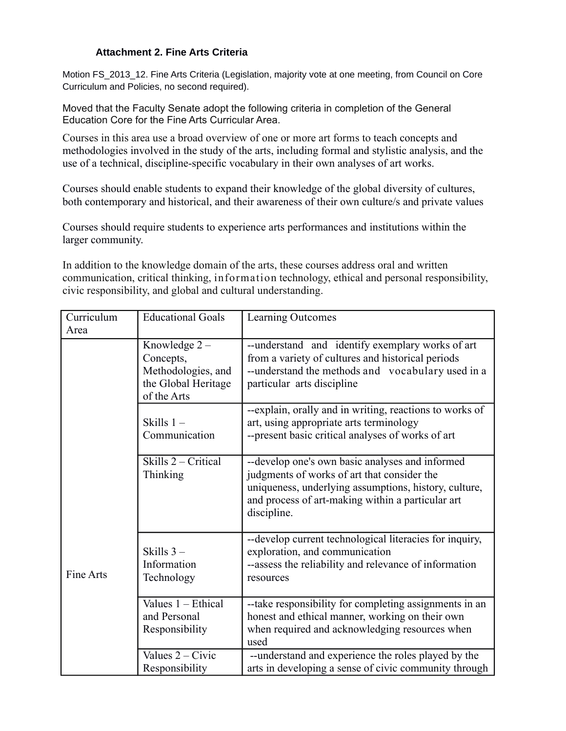## **Attachment 2. Fine Arts Criteria**

Motion FS\_2013\_12. Fine Arts Criteria (Legislation, majority vote at one meeting, from Council on Core Curriculum and Policies, no second required).

Moved that the Faculty Senate adopt the following criteria in completion of the General Education Core for the Fine Arts Curricular Area.

Courses in this area use a broad overview of one or more art forms to teach concepts and methodologies involved in the study of the arts, including formal and stylistic analysis, and the use of a technical, discipline-specific vocabulary in their own analyses of art works.

Courses should enable students to expand their knowledge of the global diversity of cultures, both contemporary and historical, and their awareness of their own culture/s and private values

Courses should require students to experience arts performances and institutions within the larger community.

In addition to the knowledge domain of the arts, these courses address oral and written communication, critical thinking, information technology, ethical and personal responsibility, civic responsibility, and global and cultural understanding.

| Curriculum<br>Area | <b>Educational Goals</b>                                                                 | Learning Outcomes                                                                                                                                                                                                           |  |
|--------------------|------------------------------------------------------------------------------------------|-----------------------------------------------------------------------------------------------------------------------------------------------------------------------------------------------------------------------------|--|
|                    | Knowledge $2 -$<br>Concepts,<br>Methodologies, and<br>the Global Heritage<br>of the Arts | --understand and identify exemplary works of art<br>from a variety of cultures and historical periods<br>--understand the methods and vocabulary used in a<br>particular arts discipline                                    |  |
|                    | Skills $1 -$<br>Communication                                                            | --explain, orally and in writing, reactions to works of<br>art, using appropriate arts terminology<br>--present basic critical analyses of works of art                                                                     |  |
|                    | Skills 2 - Critical<br>Thinking                                                          | --develop one's own basic analyses and informed<br>judgments of works of art that consider the<br>uniqueness, underlying assumptions, history, culture,<br>and process of art-making within a particular art<br>discipline. |  |
| Fine Arts          | Skills $3-$<br>Information<br>Technology                                                 | --develop current technological literacies for inquiry,<br>exploration, and communication<br>--assess the reliability and relevance of information<br>resources                                                             |  |
|                    | Values $1 - Ethical$<br>and Personal<br>Responsibility                                   | --take responsibility for completing assignments in an<br>honest and ethical manner, working on their own<br>when required and acknowledging resources when<br>used                                                         |  |
|                    | Values $2 - C$ ivic<br>Responsibility                                                    | --understand and experience the roles played by the<br>arts in developing a sense of civic community through                                                                                                                |  |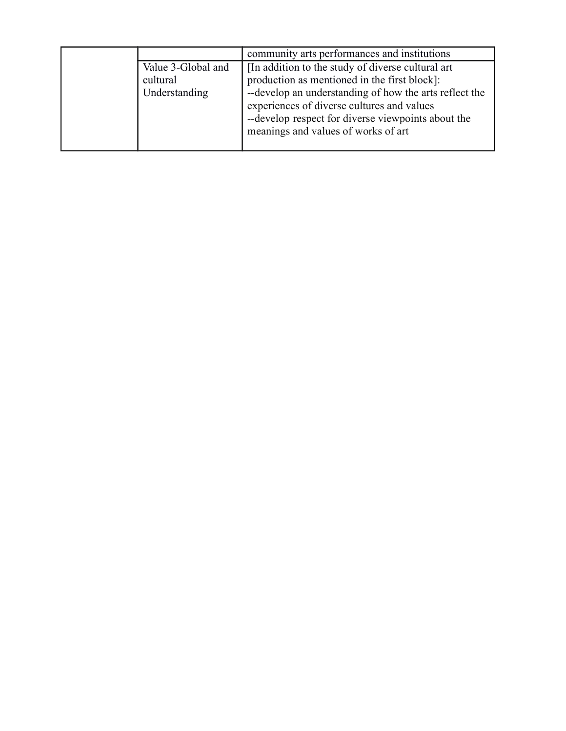|                                | community arts performances and institutions                                                                                                                                                      |
|--------------------------------|---------------------------------------------------------------------------------------------------------------------------------------------------------------------------------------------------|
| Value 3-Global and<br>cultural | In addition to the study of diverse cultural art<br>production as mentioned in the first block]:                                                                                                  |
| Understanding                  | --develop an understanding of how the arts reflect the<br>experiences of diverse cultures and values<br>--develop respect for diverse viewpoints about the<br>meanings and values of works of art |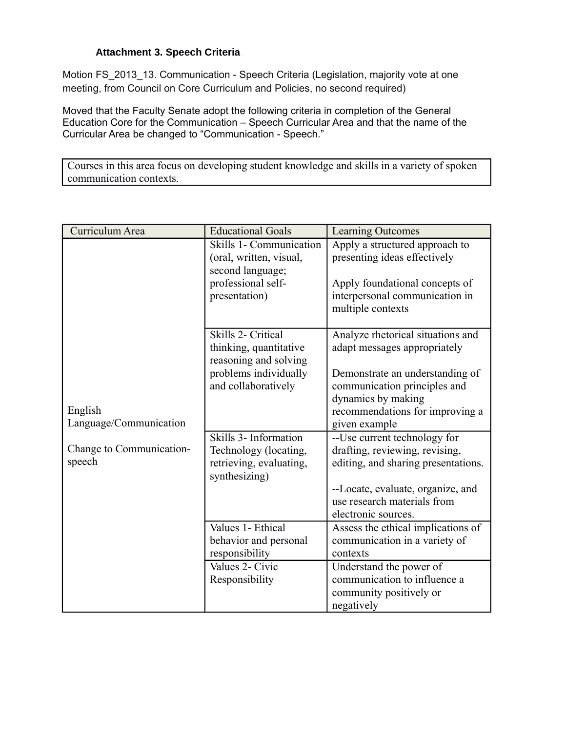## **Attachment 3. Speech Criteria**

Motion FS\_2013\_13. Communication - Speech Criteria (Legislation, majority vote at one meeting, from Council on Core Curriculum and Policies, no second required)

Moved that the Faculty Senate adopt the following criteria in completion of the General Education Core for the Communication – Speech Curricular Area and that the name of the Curricular Area be changed to "Communication - Speech."

Courses in this area focus on developing student knowledge and skills in a variety of spoken communication contexts.

| Curriculum Area                    | <b>Educational Goals</b>                                                                                              | Learning Outcomes                                                                                                                                                                                              |
|------------------------------------|-----------------------------------------------------------------------------------------------------------------------|----------------------------------------------------------------------------------------------------------------------------------------------------------------------------------------------------------------|
|                                    | Skills 1- Communication<br>(oral, written, visual,<br>second language;<br>professional self-<br>presentation)         | Apply a structured approach to<br>presenting ideas effectively<br>Apply foundational concepts of<br>interpersonal communication in<br>multiple contexts                                                        |
| English<br>Language/Communication  | Skills 2- Critical<br>thinking, quantitative<br>reasoning and solving<br>problems individually<br>and collaboratively | Analyze rhetorical situations and<br>adapt messages appropriately<br>Demonstrate an understanding of<br>communication principles and<br>dynamics by making<br>recommendations for improving a<br>given example |
| Change to Communication-<br>speech | Skills 3- Information<br>Technology (locating,<br>retrieving, evaluating,<br>synthesizing)                            | --Use current technology for<br>drafting, reviewing, revising,<br>editing, and sharing presentations.<br>--Locate, evaluate, organize, and<br>use research materials from<br>electronic sources.               |
|                                    | Values 1- Ethical<br>behavior and personal<br>responsibility                                                          | Assess the ethical implications of<br>communication in a variety of<br>contexts                                                                                                                                |
|                                    | Values 2- Civic<br>Responsibility                                                                                     | Understand the power of<br>communication to influence a<br>community positively or<br>negatively                                                                                                               |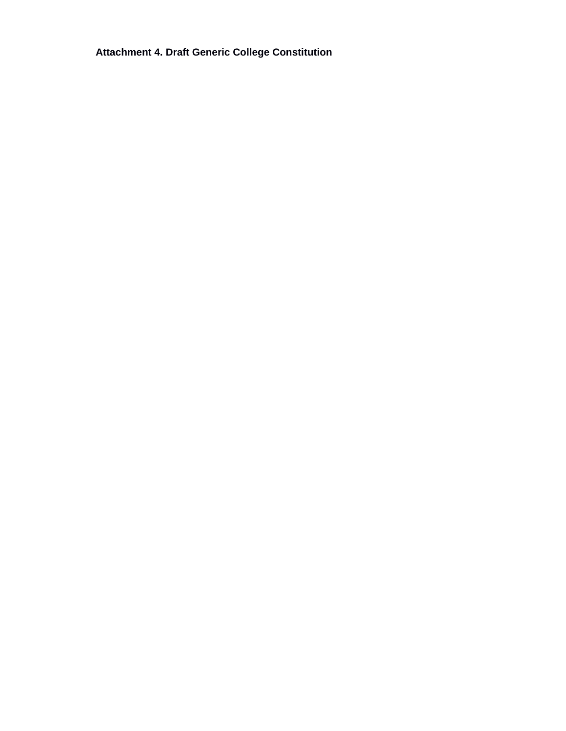**Attachment 4. Draft Generic College Constitution**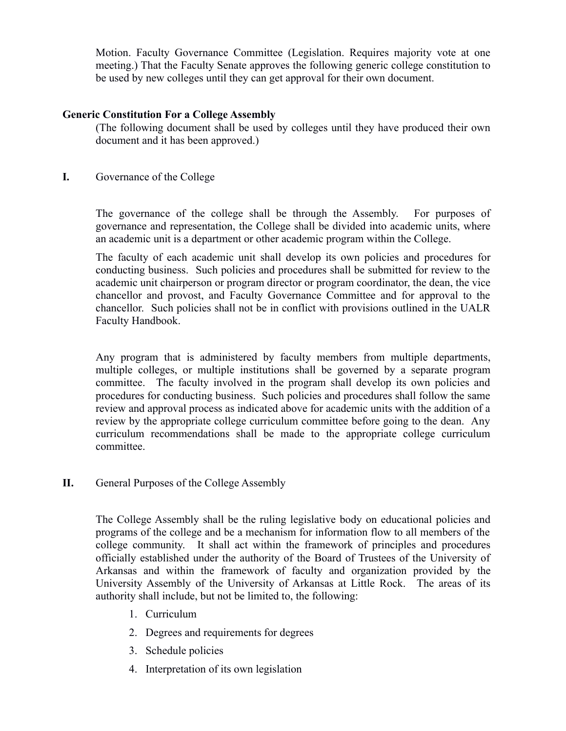Motion. Faculty Governance Committee (Legislation. Requires majority vote at one meeting.) That the Faculty Senate approves the following generic college constitution to be used by new colleges until they can get approval for their own document.

## **Generic Constitution For a College Assembly**

(The following document shall be used by colleges until they have produced their own document and it has been approved.)

# **I.** Governance of the College

The governance of the college shall be through the Assembly. For purposes of governance and representation, the College shall be divided into academic units, where an academic unit is a department or other academic program within the College.

The faculty of each academic unit shall develop its own policies and procedures for conducting business. Such policies and procedures shall be submitted for review to the academic unit chairperson or program director or program coordinator, the dean, the vice chancellor and provost, and Faculty Governance Committee and for approval to the chancellor. Such policies shall not be in conflict with provisions outlined in the UALR Faculty Handbook.

Any program that is administered by faculty members from multiple departments, multiple colleges, or multiple institutions shall be governed by a separate program committee. The faculty involved in the program shall develop its own policies and procedures for conducting business. Such policies and procedures shall follow the same review and approval process as indicated above for academic units with the addition of a review by the appropriate college curriculum committee before going to the dean. Any curriculum recommendations shall be made to the appropriate college curriculum committee.

**II.** General Purposes of the College Assembly

The College Assembly shall be the ruling legislative body on educational policies and programs of the college and be a mechanism for information flow to all members of the college community. It shall act within the framework of principles and procedures officially established under the authority of the Board of Trustees of the University of Arkansas and within the framework of faculty and organization provided by the University Assembly of the University of Arkansas at Little Rock. The areas of its authority shall include, but not be limited to, the following:

- 1. Curriculum
- 2. Degrees and requirements for degrees
- 3. Schedule policies
- 4. Interpretation of its own legislation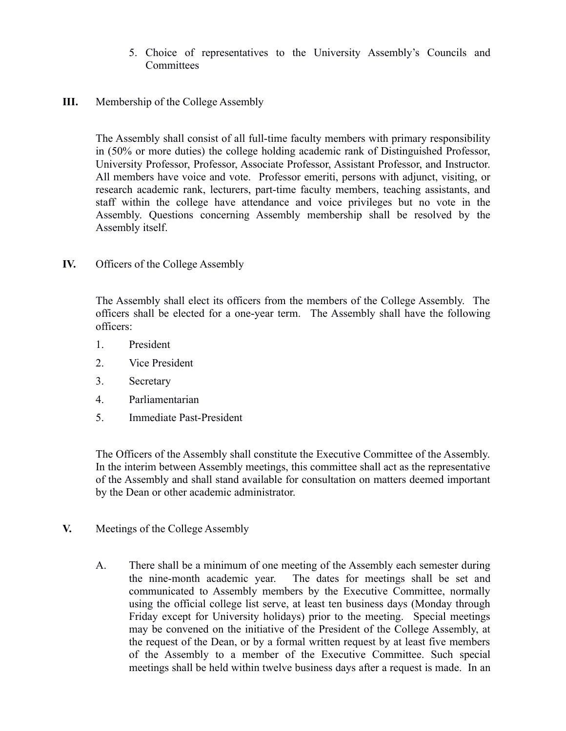5. Choice of representatives to the University Assembly's Councils and **Committees** 

# **III.** Membership of the College Assembly

The Assembly shall consist of all full-time faculty members with primary responsibility in (50% or more duties) the college holding academic rank of Distinguished Professor, University Professor, Professor, Associate Professor, Assistant Professor, and Instructor. All members have voice and vote. Professor emeriti, persons with adjunct, visiting, or research academic rank, lecturers, part-time faculty members, teaching assistants, and staff within the college have attendance and voice privileges but no vote in the Assembly. Questions concerning Assembly membership shall be resolved by the Assembly itself.

# **IV.** Officers of the College Assembly

The Assembly shall elect its officers from the members of the College Assembly. The officers shall be elected for a one-year term. The Assembly shall have the following officers:

- 1. President
- 2. Vice President
- 3. Secretary
- 4. Parliamentarian
- 5. Immediate Past-President

The Officers of the Assembly shall constitute the Executive Committee of the Assembly. In the interim between Assembly meetings, this committee shall act as the representative of the Assembly and shall stand available for consultation on matters deemed important by the Dean or other academic administrator.

- **V.** Meetings of the College Assembly
	- A. There shall be a minimum of one meeting of the Assembly each semester during the nine-month academic year. The dates for meetings shall be set and communicated to Assembly members by the Executive Committee, normally using the official college list serve, at least ten business days (Monday through Friday except for University holidays) prior to the meeting. Special meetings may be convened on the initiative of the President of the College Assembly, at the request of the Dean, or by a formal written request by at least five members of the Assembly to a member of the Executive Committee. Such special meetings shall be held within twelve business days after a request is made. In an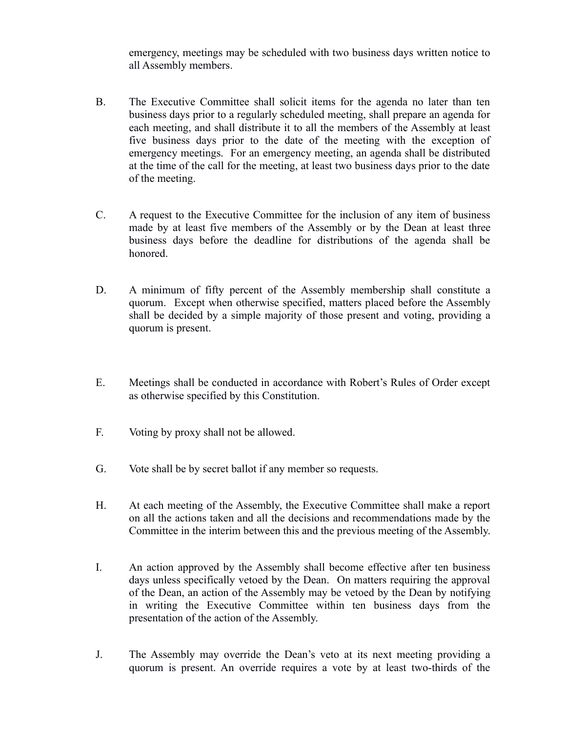emergency, meetings may be scheduled with two business days written notice to all Assembly members.

- B. The Executive Committee shall solicit items for the agenda no later than ten business days prior to a regularly scheduled meeting, shall prepare an agenda for each meeting, and shall distribute it to all the members of the Assembly at least five business days prior to the date of the meeting with the exception of emergency meetings. For an emergency meeting, an agenda shall be distributed at the time of the call for the meeting, at least two business days prior to the date of the meeting.
- C. A request to the Executive Committee for the inclusion of any item of business made by at least five members of the Assembly or by the Dean at least three business days before the deadline for distributions of the agenda shall be honored.
- D. A minimum of fifty percent of the Assembly membership shall constitute a quorum. Except when otherwise specified, matters placed before the Assembly shall be decided by a simple majority of those present and voting, providing a quorum is present.
- E. Meetings shall be conducted in accordance with Robert's Rules of Order except as otherwise specified by this Constitution.
- F. Voting by proxy shall not be allowed.
- G. Vote shall be by secret ballot if any member so requests.
- H. At each meeting of the Assembly, the Executive Committee shall make a report on all the actions taken and all the decisions and recommendations made by the Committee in the interim between this and the previous meeting of the Assembly.
- I. An action approved by the Assembly shall become effective after ten business days unless specifically vetoed by the Dean. On matters requiring the approval of the Dean, an action of the Assembly may be vetoed by the Dean by notifying in writing the Executive Committee within ten business days from the presentation of the action of the Assembly.
- J. The Assembly may override the Dean's veto at its next meeting providing a quorum is present. An override requires a vote by at least two-thirds of the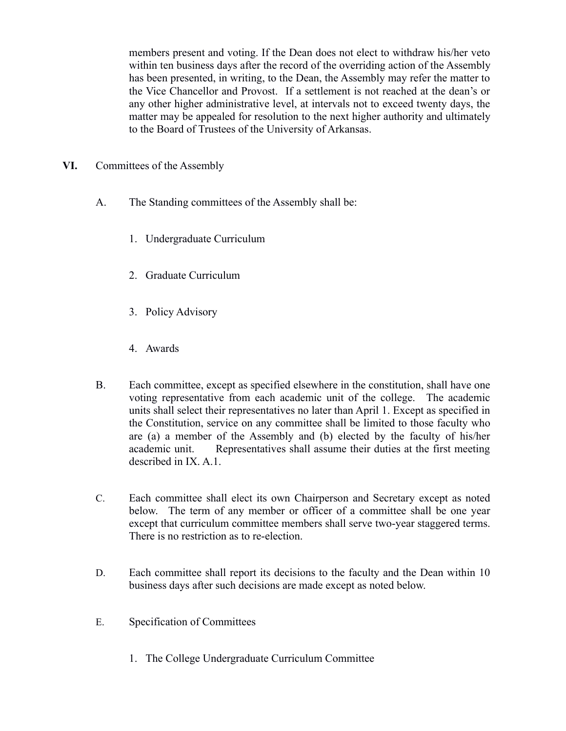members present and voting. If the Dean does not elect to withdraw his/her veto within ten business days after the record of the overriding action of the Assembly has been presented, in writing, to the Dean, the Assembly may refer the matter to the Vice Chancellor and Provost. If a settlement is not reached at the dean's or any other higher administrative level, at intervals not to exceed twenty days, the matter may be appealed for resolution to the next higher authority and ultimately to the Board of Trustees of the University of Arkansas.

- **VI.** Committees of the Assembly
	- A. The Standing committees of the Assembly shall be:
		- 1. Undergraduate Curriculum
		- 2. Graduate Curriculum
		- 3. Policy Advisory
		- 4. Awards
	- B. Each committee, except as specified elsewhere in the constitution, shall have one voting representative from each academic unit of the college. The academic units shall select their representatives no later than April 1. Except as specified in the Constitution, service on any committee shall be limited to those faculty who are (a) a member of the Assembly and (b) elected by the faculty of his/her academic unit. Representatives shall assume their duties at the first meeting described in IX. A.1.
	- C. Each committee shall elect its own Chairperson and Secretary except as noted below. The term of any member or officer of a committee shall be one year except that curriculum committee members shall serve two-year staggered terms. There is no restriction as to re-election.
	- D. Each committee shall report its decisions to the faculty and the Dean within 10 business days after such decisions are made except as noted below.
	- E. Specification of Committees
		- 1. The College Undergraduate Curriculum Committee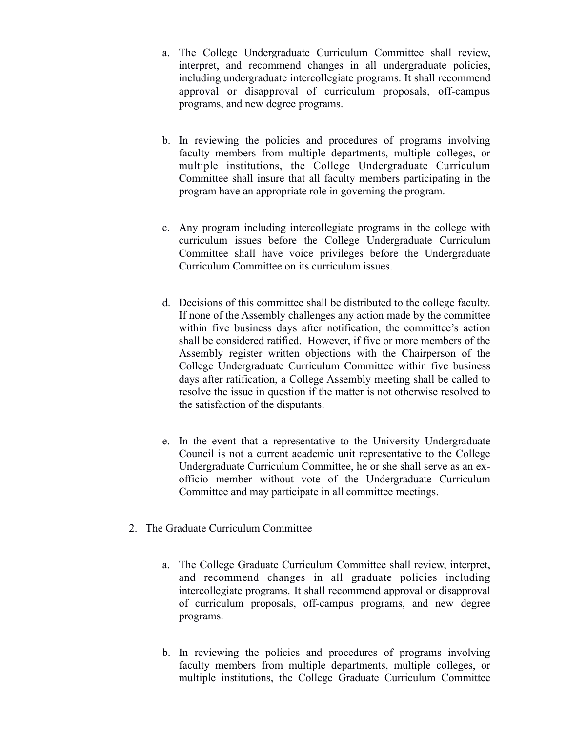- a. The College Undergraduate Curriculum Committee shall review, interpret, and recommend changes in all undergraduate policies, including undergraduate intercollegiate programs. It shall recommend approval or disapproval of curriculum proposals, off-campus programs, and new degree programs.
- b. In reviewing the policies and procedures of programs involving faculty members from multiple departments, multiple colleges, or multiple institutions, the College Undergraduate Curriculum Committee shall insure that all faculty members participating in the program have an appropriate role in governing the program.
- c. Any program including intercollegiate programs in the college with curriculum issues before the College Undergraduate Curriculum Committee shall have voice privileges before the Undergraduate Curriculum Committee on its curriculum issues.
- d. Decisions of this committee shall be distributed to the college faculty. If none of the Assembly challenges any action made by the committee within five business days after notification, the committee's action shall be considered ratified. However, if five or more members of the Assembly register written objections with the Chairperson of the College Undergraduate Curriculum Committee within five business days after ratification, a College Assembly meeting shall be called to resolve the issue in question if the matter is not otherwise resolved to the satisfaction of the disputants.
- e. In the event that a representative to the University Undergraduate Council is not a current academic unit representative to the College Undergraduate Curriculum Committee, he or she shall serve as an exofficio member without vote of the Undergraduate Curriculum Committee and may participate in all committee meetings.
- 2. The Graduate Curriculum Committee
	- a. The College Graduate Curriculum Committee shall review, interpret, and recommend changes in all graduate policies including intercollegiate programs. It shall recommend approval or disapproval of curriculum proposals, off-campus programs, and new degree programs.
	- b. In reviewing the policies and procedures of programs involving faculty members from multiple departments, multiple colleges, or multiple institutions, the College Graduate Curriculum Committee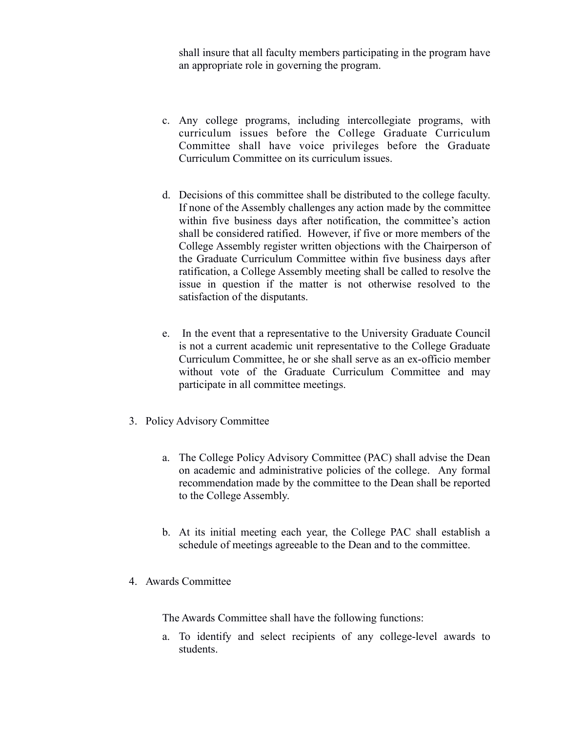shall insure that all faculty members participating in the program have an appropriate role in governing the program.

- c. Any college programs, including intercollegiate programs, with curriculum issues before the College Graduate Curriculum Committee shall have voice privileges before the Graduate Curriculum Committee on its curriculum issues.
- d. Decisions of this committee shall be distributed to the college faculty. If none of the Assembly challenges any action made by the committee within five business days after notification, the committee's action shall be considered ratified. However, if five or more members of the College Assembly register written objections with the Chairperson of the Graduate Curriculum Committee within five business days after ratification, a College Assembly meeting shall be called to resolve the issue in question if the matter is not otherwise resolved to the satisfaction of the disputants.
- e. In the event that a representative to the University Graduate Council is not a current academic unit representative to the College Graduate Curriculum Committee, he or she shall serve as an ex-officio member without vote of the Graduate Curriculum Committee and may participate in all committee meetings.
- 3. Policy Advisory Committee
	- a. The College Policy Advisory Committee (PAC) shall advise the Dean on academic and administrative policies of the college. Any formal recommendation made by the committee to the Dean shall be reported to the College Assembly.
	- b. At its initial meeting each year, the College PAC shall establish a schedule of meetings agreeable to the Dean and to the committee.
- 4. Awards Committee

The Awards Committee shall have the following functions:

a. To identify and select recipients of any college-level awards to students.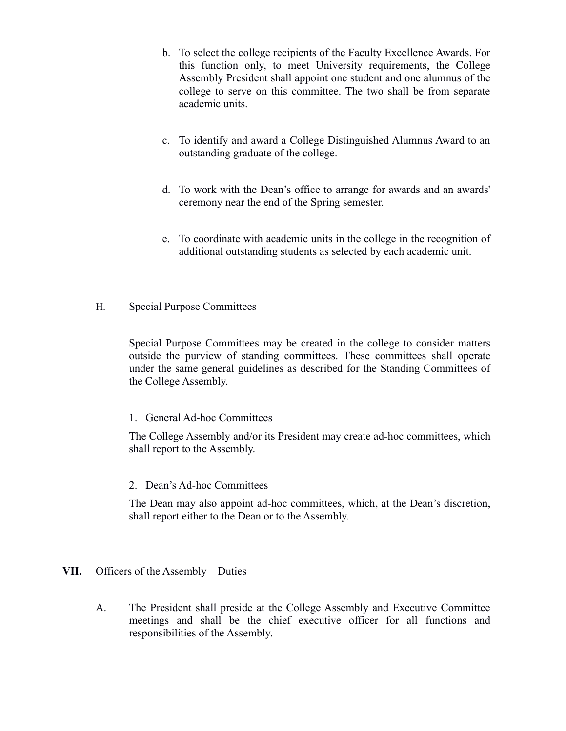- b. To select the college recipients of the Faculty Excellence Awards. For this function only, to meet University requirements, the College Assembly President shall appoint one student and one alumnus of the college to serve on this committee. The two shall be from separate academic units.
- c. To identify and award a College Distinguished Alumnus Award to an outstanding graduate of the college.
- d. To work with the Dean's office to arrange for awards and an awards' ceremony near the end of the Spring semester.
- e. To coordinate with academic units in the college in the recognition of additional outstanding students as selected by each academic unit.
- H. Special Purpose Committees

Special Purpose Committees may be created in the college to consider matters outside the purview of standing committees. These committees shall operate under the same general guidelines as described for the Standing Committees of the College Assembly.

## 1. General Ad-hoc Committees

The College Assembly and/or its President may create ad-hoc committees, which shall report to the Assembly.

## 2. Dean's Ad-hoc Committees

The Dean may also appoint ad-hoc committees, which, at the Dean's discretion, shall report either to the Dean or to the Assembly.

# **VII.** Officers of the Assembly – Duties

A. The President shall preside at the College Assembly and Executive Committee meetings and shall be the chief executive officer for all functions and responsibilities of the Assembly.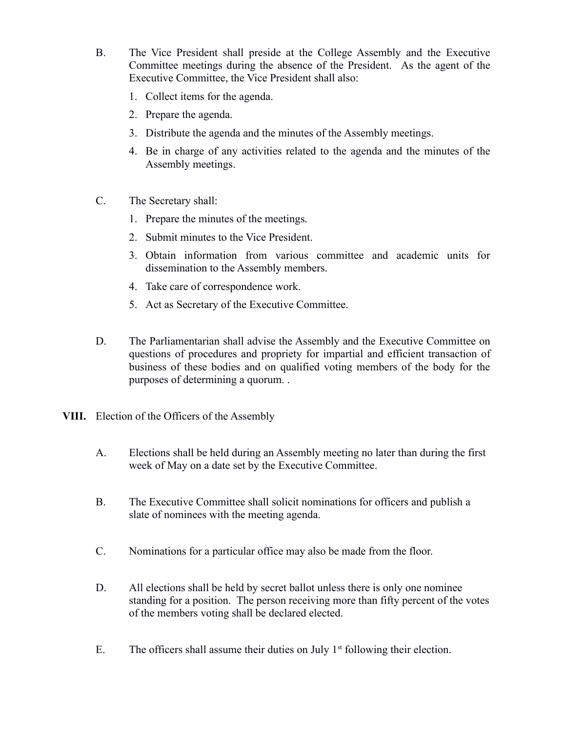- B. The Vice President shall preside at the College Assembly and the Executive Committee meetings during the absence of the President. As the agent of the Executive Committee, the Vice President shall also:
	- 1. Collect items for the agenda.
	- 2. Prepare the agenda.
	- 3. Distribute the agenda and the minutes of the Assembly meetings.
	- 4. Be in charge of any activities related to the agenda and the minutes of the Assembly meetings.
- C. The Secretary shall:
	- 1. Prepare the minutes of the meetings.
	- 2. Submit minutes to the Vice President.
	- 3. Obtain information from various committee and academic units for dissemination to the Assembly members.
	- 4. Take care of correspondence work.
	- 5. Act as Secretary of the Executive Committee.
- D. The Parliamentarian shall advise the Assembly and the Executive Committee on questions of procedures and propriety for impartial and efficient transaction of business of these bodies and on qualified voting members of the body for the purposes of determining a quorum. .
- **VIII.** Election of the Officers of the Assembly
	- A. Elections shall be held during an Assembly meeting no later than during the first week of May on a date set by the Executive Committee.
	- B. The Executive Committee shall solicit nominations for officers and publish a slate of nominees with the meeting agenda.
	- C. Nominations for a particular office may also be made from the floor.
	- D. All elections shall be held by secret ballot unless there is only one nominee standing for a position. The person receiving more than fifty percent of the votes of the members voting shall be declared elected.
	- E. The officers shall assume their duties on July  $1<sup>st</sup>$  following their election.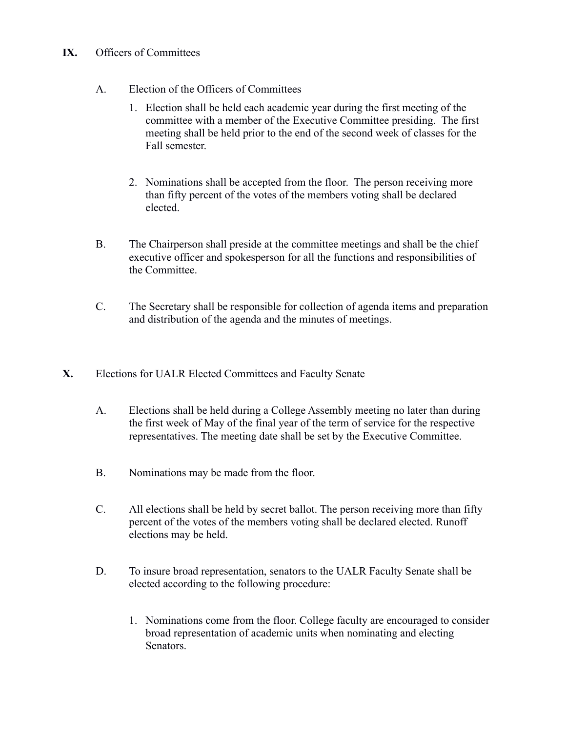# **IX.** Officers of Committees

- A. Election of the Officers of Committees
	- 1. Election shall be held each academic year during the first meeting of the committee with a member of the Executive Committee presiding. The first meeting shall be held prior to the end of the second week of classes for the Fall semester.
	- 2. Nominations shall be accepted from the floor. The person receiving more than fifty percent of the votes of the members voting shall be declared elected.
- B. The Chairperson shall preside at the committee meetings and shall be the chief executive officer and spokesperson for all the functions and responsibilities of the Committee.
- C. The Secretary shall be responsible for collection of agenda items and preparation and distribution of the agenda and the minutes of meetings.
- **X.** Elections for UALR Elected Committees and Faculty Senate
	- A. Elections shall be held during a College Assembly meeting no later than during the first week of May of the final year of the term of service for the respective representatives. The meeting date shall be set by the Executive Committee.
	- B. Nominations may be made from the floor.
	- C. All elections shall be held by secret ballot. The person receiving more than fifty percent of the votes of the members voting shall be declared elected. Runoff elections may be held.
	- D. To insure broad representation, senators to the UALR Faculty Senate shall be elected according to the following procedure:
		- 1. Nominations come from the floor. College faculty are encouraged to consider broad representation of academic units when nominating and electing Senators.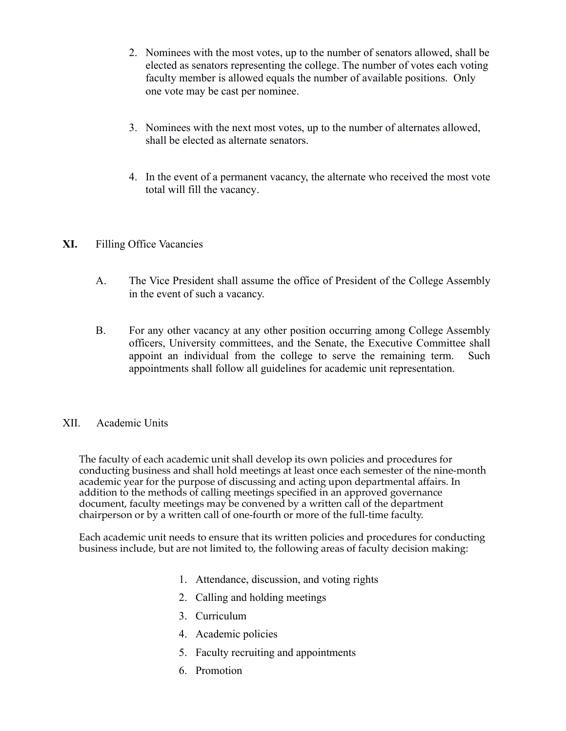- 2. Nominees with the most votes, up to the number of senators allowed, shall be elected as senators representing the college. The number of votes each voting faculty member is allowed equals the number of available positions. Only one vote may be cast per nominee.
- 3. Nominees with the next most votes, up to the number of alternates allowed, shall be elected as alternate senators.
- 4. In the event of a permanent vacancy, the alternate who received the most vote total will fill the vacancy.

# **XI.** Filling Office Vacancies

- A. The Vice President shall assume the office of President of the College Assembly in the event of such a vacancy.
- B. For any other vacancy at any other position occurring among College Assembly officers, University committees, and the Senate, the Executive Committee shall appoint an individual from the college to serve the remaining term. Such appointments shall follow all guidelines for academic unit representation.

## XII. Academic Units

The faculty of each academic unit shall develop its own policies and procedures for conducting business and shall hold meetings at least once each semester of the nine-month academic year for the purpose of discussing and acting upon departmental affairs. In addition to the methods of calling meetings specifed in an approved governance document, faculty meetings may be convened by a written call of the department chairperson or by a written call of one-fourth or more of the full-time faculty.

Each academic unit needs to ensure that its written policies and procedures for conducting business include, but are not limited to, the following areas of faculty decision making:

- 1. Attendance, discussion, and voting rights
- 2. Calling and holding meetings
- 3. Curriculum
- 4. Academic policies
- 5. Faculty recruiting and appointments
- 6. Promotion